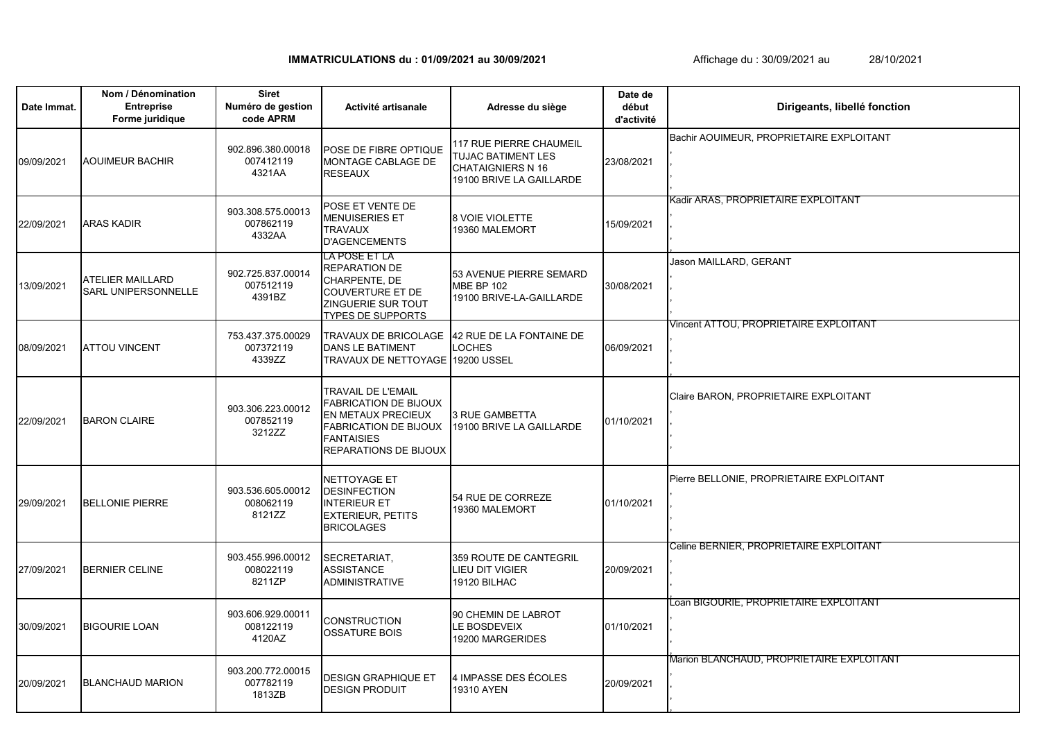**IMMATRICULATIONS du : 01/09/2021 au 30/09/2021**

Date Immat. **A Late Immat. Activité artisanale Adresse du siège Adresse du siège Date de début d'activité** 09/09/2021 POSE DE FIBRE OPTIQUE MONTAGE CABLAGE DE RESEAUX 117 RUE PIERRE CHAUMEIL TUJAC BATIMENT LES CHATAIGNIERS N 16 19100 BRIVE LA GAILLARDE 23/08/2021 22/09/2021 POSE ET VENTE DE MENUISERIES ET TRAVAUX D'AGENCEMENTS 8 VOIE VIOLETTE 8 VOIE VIOLETTE<br>19360 MALEMORT 15/09/2021 13/09/2021 LA POSE ET LA REPARATION DE CHARPENTE, DE COUVERTURE ET DE ZINGUERIE SUR TOUT TYPES DE SUPPORTS 53 AVENUE PIERRE SEMARD MBE BP 102 19100 BRIVE-LA-GAILLARDE 30/08/2021 08/09/2021 TRAVAUX DE BRICOLAGE DANS LE BATIMENT TRAVAUX DE NETTOYAGE 42 RUE DE LA FONTAINE DE **OCHES** 19200 USSEL 06/09/2021 22/09/2021 TRAVAIL DE L'EMAIL FABRICATION DE BIJOUX EN METAUX PRECIEUX FABRICATION DE BIJOUX FANTAISIES REPARATIONS DE BIJOUX 3 RUE GAMBETTA 3 RUE GAMBETTA<br>19100 BRIVE LA GAILLARDE 01/10/2021 29/09/2021 NETTOYAGE ET DESINFECTION INTERIEUR ET EXTERIEUR, PETITS **BRICOLAGES** 54 RUE DE CORREZE 34 NOE DE CONNEZE 01/10/2021 27/09/2021 SECRETARIAT, ASSISTANCE ADMINISTRATIVE 359 ROUTE DE CANTEGRIL LIEU DIT VIGIER 19120 BILHAC 20/09/2021 30/09/2021 BIGOURIE LOAN 1008122119 CONSTRUCTION OSSATURE BOIS 90 CHEMIN DE LABROT LE BOSDEVEIX 19200 MARGERIDES 01/10/2021 20/09/2021 DESIGN GRAPHIQUE ET BLANCHAUD MARION DESIGN PRODUIT 4 IMPASSE DES ÉCOLES 4 IMPASSE DES ECOLES<br>19310 AYEN 903.606.929.00011 008122119 4120AZ ,<br>Loan BIGOURIE, PROPRIETAIRE EXPLOITANT , , , , Marion BLANCHAUD, PROPRIETAIRE EXPLOITANT 903.200.772.00015 007782119 1813ZB , , , , BELLONIE PIERRE 903.536.605.00012 008062119 8121ZZ Pierre BELLONIE, PROPRIETAIRE EXPLOITANT , , , , BERNIER CELINE 903.455.996.00012 008022119 8211ZP Celine BERNIER, PROPRIETAIRE EXPLOITANT , , , ATTOU VINCENT 753.437.375.00029 007372119 4339ZZ Vincent ATTOU, PROPRIETAIRE EXPLOITANT , , , , BARON CLAIRE 903.306.223.00012 007852119 3212ZZ Claire BARON, PROPRIETAIRE EXPLOITANT , , , , ARAS KADIR 903.308.575.00013 007862119 4332AA Kadir ARAS, PROPRIETAIRE EXPLOITANT , , , , ATELIER MAILLARD SARL UNIPERSONNELLE 902.725.837.00014 007512119 4391BZ Jason MAILLARD, GERANT , , , , **Nom / Dénomination Entreprise Forme juridique Siret Numéro de gestion code APRM Dirigeants, libellé fonction** AOUIMEUR BACHIR 902.896.380.00018 007412119 4321AA Bachir AOUIMEUR, PROPRIETAIRE EXPLOITANT , , , ,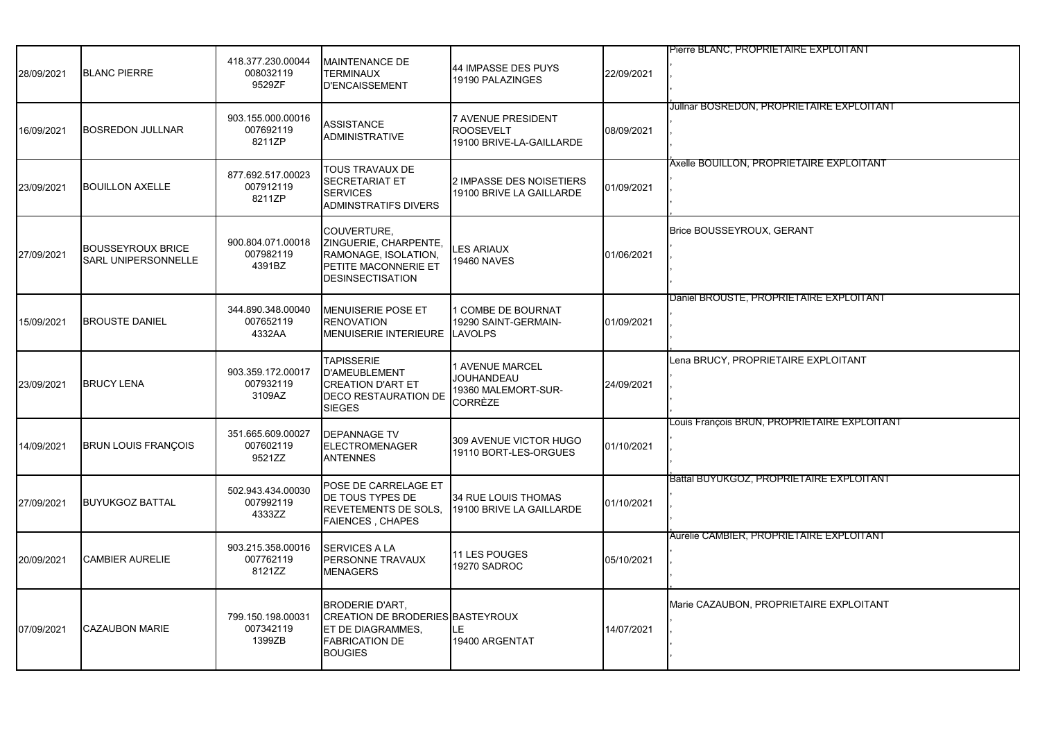| 28/09/2021 | <b>BLANC PIERRE</b>                                    | 418.377.230.00044<br>008032119<br>9529ZF | <b>MAINTENANCE DE</b><br><b>TERMINAUX</b><br><b>D'ENCAISSEMENT</b>                                                                | 44 IMPASSE DES PUYS<br>19190 PALAZINGES                                       | 22/09/2021 | Pierre BLANC, PROPRIETAIRE EXPLOITANT           |
|------------|--------------------------------------------------------|------------------------------------------|-----------------------------------------------------------------------------------------------------------------------------------|-------------------------------------------------------------------------------|------------|-------------------------------------------------|
| 16/09/2021 | <b>BOSREDON JULLNAR</b>                                | 903.155.000.00016<br>007692119<br>8211ZP | <b>ASSISTANCE</b><br><b>ADMINISTRATIVE</b>                                                                                        | 7 AVENUE PRESIDENT<br><b>ROOSEVELT</b><br>19100 BRIVE-LA-GAILLARDE            | 08/09/2021 | Julinar BOSREDON, PROPRIETAIRE EXPLOITANT       |
| 23/09/2021 | <b>BOUILLON AXELLE</b>                                 | 877.692.517.00023<br>007912119<br>8211ZP | TOUS TRAVAUX DE<br>SECRETARIAT ET<br><b>SERVICES</b><br>ADMINSTRATIFS DIVERS                                                      | 2 IMPASSE DES NOISETIERS<br>19100 BRIVE LA GAILLARDE                          | 01/09/2021 | Axelle BOUILLON, PROPRIETAIRE EXPLOITANT        |
| 27/09/2021 | <b>BOUSSEYROUX BRICE</b><br><b>SARL UNIPERSONNELLE</b> | 900.804.071.00018<br>007982119<br>4391BZ | COUVERTURE,<br>ZINGUERIE, CHARPENTE,<br>RAMONAGE, ISOLATION,<br>PETITE MACONNERIE ET<br><b>DESINSECTISATION</b>                   | <b>LES ARIAUX</b><br><b>19460 NAVES</b>                                       | 01/06/2021 | Brice BOUSSEYROUX, GERANT                       |
| 15/09/2021 | <b>BROUSTE DANIEL</b>                                  | 344.890.348.00040<br>007652119<br>4332AA | MENUISERIE POSE ET<br><b>RENOVATION</b><br><b>MENUISERIE INTERIEURE</b>                                                           | 1 COMBE DE BOURNAT<br>19290 SAINT-GERMAIN-<br><b>LAVOLPS</b>                  | 01/09/2021 | Daniel BROUSTE, PROPRIETAIRE EXPLOITANT         |
| 23/09/2021 | <b>BRUCY LENA</b>                                      | 903.359.172.00017<br>007932119<br>3109AZ | <b>TAPISSERIE</b><br><b>D'AMEUBLEMENT</b><br><b>CREATION D'ART ET</b><br><b>DECO RESTAURATION DE</b><br><b>SIEGES</b>             | <b>1 AVENUE MARCEL</b><br><b>JOUHANDEAU</b><br>19360 MALEMORT-SUR-<br>CORRÈZE | 24/09/2021 | Lena BRUCY, PROPRIETAIRE EXPLOITANT             |
| 14/09/2021 | <b>BRUN LOUIS FRANÇOIS</b>                             | 351.665.609.00027<br>007602119<br>9521ZZ | <b>DEPANNAGE TV</b><br>ELECTROMENAGER<br>ANTENNES                                                                                 | 309 AVENUE VICTOR HUGO<br>19110 BORT-LES-ORGUES                               | 01/10/2021 | Louis François BRUN, PROPRIETAIRE EXPLOITANT    |
| 27/09/2021 | <b>BUYUKGOZ BATTAL</b>                                 | 502.943.434.00030<br>007992119<br>4333ZZ | POSE DE CARRELAGE ET<br>DE TOUS TYPES DE<br>REVETEMENTS DE SOLS,<br><b>FAIENCES, CHAPES</b>                                       | 34 RUE LOUIS THOMAS<br>19100 BRIVE LA GAILLARDE                               | 01/10/2021 | <b>Battal BUYUKGOZ, PROPRIETAIRE EXPLOITANT</b> |
| 20/09/2021 | <b>CAMBIER AURELIE</b>                                 | 903.215.358.00016<br>007762119<br>8121ZZ | <b>SERVICES A LA</b><br>PERSONNE TRAVAUX<br><b>MENAGERS</b>                                                                       | 11 LES POUGES<br>19270 SADROC                                                 | 05/10/2021 | Aurelie CAMBIER, PROPRIETAIRE EXPLOITANT        |
| 07/09/2021 | <b>CAZAUBON MARIE</b>                                  | 799.150.198.00031<br>007342119<br>1399ZB | <b>BRODERIE D'ART,</b><br><b>CREATION DE BRODERIES BASTEYROUX</b><br>ET DE DIAGRAMMES,<br><b>FABRICATION DE</b><br><b>BOUGIES</b> | LE<br>19400 ARGENTAT                                                          | 14/07/2021 | Marie CAZAUBON, PROPRIETAIRE EXPLOITANT         |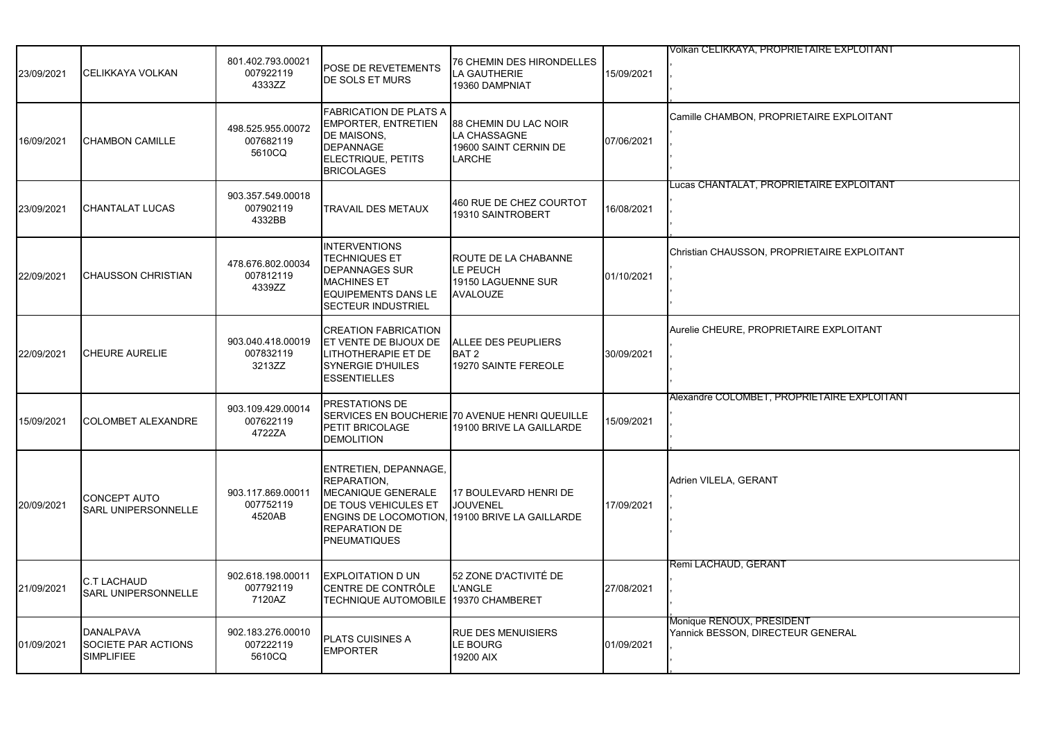|            |                                                       |                                          |                                                                                                                                                        |                                                                                            |            | Volkan CELIKKAYA, PROPRIETAIRE EXPLOITANT                      |
|------------|-------------------------------------------------------|------------------------------------------|--------------------------------------------------------------------------------------------------------------------------------------------------------|--------------------------------------------------------------------------------------------|------------|----------------------------------------------------------------|
| 23/09/2021 | CELIKKAYA VOLKAN                                      | 801.402.793.00021<br>007922119<br>4333ZZ | POSE DE REVETEMENTS<br>DE SOLS ET MURS                                                                                                                 | 76 CHEMIN DES HIRONDELLES<br><b>LA GAUTHERIE</b><br>19360 DAMPNIAT                         | 15/09/2021 |                                                                |
| 16/09/2021 | <b>CHAMBON CAMILLE</b>                                | 498.525.955.00072<br>007682119<br>5610CQ | <b>FABRICATION DE PLATS A</b><br><b>EMPORTER, ENTRETIEN</b><br>DE MAISONS,<br><b>DEPANNAGE</b><br>ELECTRIQUE, PETITS<br><b>BRICOLAGES</b>              | 88 CHEMIN DU LAC NOIR<br>LA CHASSAGNE<br>19600 SAINT CERNIN DE<br><b>LARCHE</b>            | 07/06/2021 | Camille CHAMBON, PROPRIETAIRE EXPLOITANT                       |
| 23/09/2021 | CHANTALAT LUCAS                                       | 903.357.549.00018<br>007902119<br>4332BB | <b>TRAVAIL DES METAUX</b>                                                                                                                              | 460 RUE DE CHEZ COURTOT<br>19310 SAINTROBERT                                               | 16/08/2021 | Lucas CHANTALAT, PROPRIETAIRE EXPLOITANT                       |
| 22/09/2021 | ICHAUSSON CHRISTIAN                                   | 478.676.802.00034<br>007812119<br>4339ZZ | <b>INTERVENTIONS</b><br><b>TECHNIQUES ET</b><br><b>DEPANNAGES SUR</b><br><b>MACHINES ET</b><br><b>EQUIPEMENTS DANS LE</b><br><b>SECTEUR INDUSTRIEL</b> | ROUTE DE LA CHABANNE<br>LE PEUCH<br>19150 LAGUENNE SUR<br><b>AVALOUZE</b>                  | 01/10/2021 | Christian CHAUSSON, PROPRIETAIRE EXPLOITANT                    |
| 22/09/2021 | <b>CHEURE AURELIE</b>                                 | 903.040.418.00019<br>007832119<br>3213ZZ | <b>CREATION FABRICATION</b><br>ET VENTE DE BIJOUX DE<br>LITHOTHERAPIE ET DE<br><b>SYNERGIE D'HUILES</b><br><b>ESSENTIELLES</b>                         | <b>ALLEE DES PEUPLIERS</b><br>BAT <sub>2</sub><br>19270 SAINTE FEREOLE                     | 30/09/2021 | Aurelie CHEURE, PROPRIETAIRE EXPLOITANT                        |
| 15/09/2021 | <b>COLOMBET ALEXANDRE</b>                             | 903.109.429.00014<br>007622119<br>4722ZA | PRESTATIONS DE<br>PETIT BRICOLAGE<br><b>DEMOLITION</b>                                                                                                 | SERVICES EN BOUCHERIE <sup>1</sup> 70 AVENUE HENRI QUEUILLE<br>19100 BRIVE LA GAILLARDE    | 15/09/2021 | Alexandre COLOMBET, PROPRIETAIRE EXPLOITANT                    |
| 20/09/2021 | CONCEPT AUTO<br><b>SARL UNIPERSONNELLE</b>            | 903.117.869.00011<br>007752119<br>4520AB | ENTRETIEN, DEPANNAGE,<br>REPARATION,<br>MECANIQUE GENERALE<br>DE TOUS VEHICULES ET<br><b>REPARATION DE</b><br><b>PNEUMATIQUES</b>                      | 17 BOULEVARD HENRI DE<br><b>JOUVENEL</b><br>ENGINS DE LOCOMOTION, 19100 BRIVE LA GAILLARDE | 17/09/2021 | Adrien VILELA, GERANT                                          |
| 21/09/2021 | <b>C.T LACHAUD</b><br><b>SARL UNIPERSONNELLE</b>      | 902.618.198.00011<br>007792119<br>7120AZ | <b>EXPLOITATION D UN</b><br>CENTRE DE CONTRÔLE<br><b>TECHNIQUE AUTOMOBILE</b>                                                                          | 52 ZONE D'ACTIVITÉ DE<br>L'ANGLE<br>19370 CHAMBERET                                        | 27/08/2021 | Remi LACHAUD, GERANT                                           |
| 01/09/2021 | DANALPAVA<br>SOCIETE PAR ACTIONS<br><b>SIMPLIFIEE</b> | 902.183.276.00010<br>007222119<br>5610CQ | <b>PLATS CUISINES A</b><br><b>EMPORTER</b>                                                                                                             | RUE DES MENUISIERS<br>LE BOURG<br>19200 AIX                                                | 01/09/2021 | Monique RENOUX, PRESIDENT<br>Yannick BESSON, DIRECTEUR GENERAL |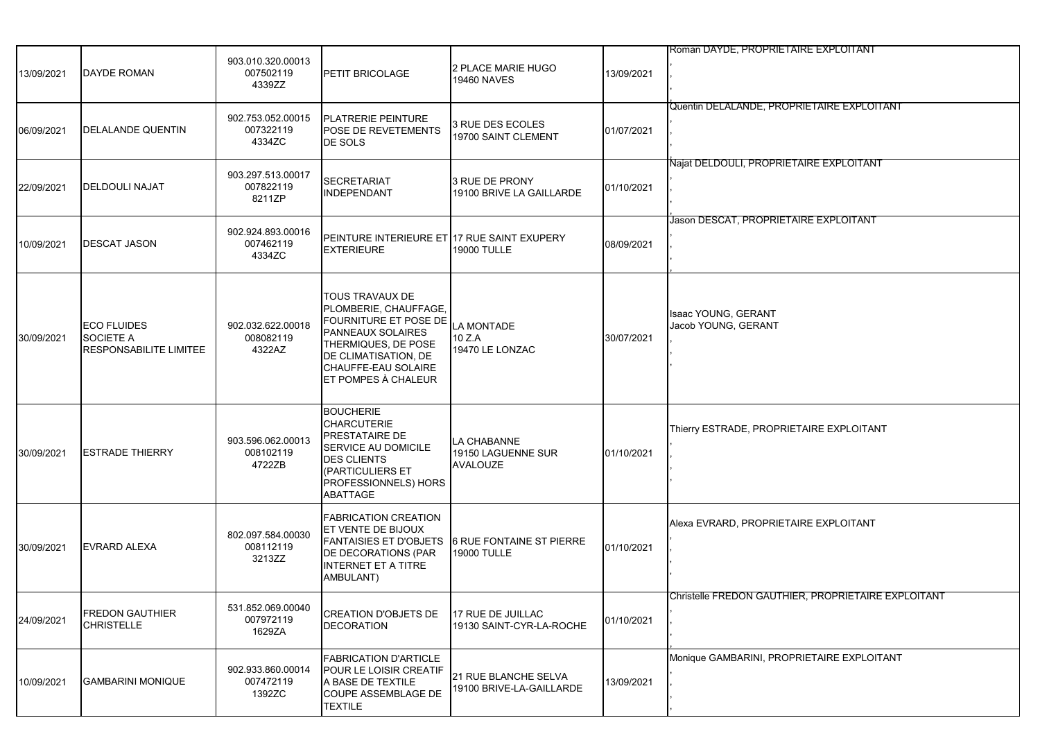| 13/09/2021 | <b>DAYDE ROMAN</b>                                                      | 903.010.320.00013<br>007502119<br>4339ZZ | PETIT BRICOLAGE                                                                                                                                                                            | 2 PLACE MARIE HUGO<br><b>19460 NAVES</b>              | 13/09/2021 | Roman DAYDE, PROPRIETAIRE EXPLOITANT                |
|------------|-------------------------------------------------------------------------|------------------------------------------|--------------------------------------------------------------------------------------------------------------------------------------------------------------------------------------------|-------------------------------------------------------|------------|-----------------------------------------------------|
| 06/09/2021 | DELALANDE QUENTIN                                                       | 902.753.052.00015<br>007322119<br>4334ZC | <b>PLATRERIE PEINTURE</b><br>POSE DE REVETEMENTS<br>DE SOLS                                                                                                                                | 3 RUE DES ECOLES<br>19700 SAINT CLEMENT               | 01/07/2021 | Quentin DELALANDE, PROPRIETAIRE EXPLOITANT          |
| 22/09/2021 | DELDOULI NAJAT                                                          | 903.297.513.00017<br>007822119<br>8211ZP | <b>SECRETARIAT</b><br><b>INDEPENDANT</b>                                                                                                                                                   | 3 RUE DE PRONY<br>19100 BRIVE LA GAILLARDE            | 01/10/2021 | Najat DELDOULI, PROPRIETAIRE EXPLOITANT             |
| 10/09/2021 | <b>DESCAT JASON</b>                                                     | 902.924.893.00016<br>007462119<br>4334ZC | PEINTURE INTERIEURE ET 17 RUE SAINT EXUPERY<br><b>EXTERIEURE</b>                                                                                                                           | 19000 TULLE                                           | 08/09/2021 | Jason DESCAT, PROPRIETAIRE EXPLOITANT               |
| 30/09/2021 | <b>ECO FLUIDES</b><br><b>SOCIETE A</b><br><b>RESPONSABILITE LIMITEE</b> | 902.032.622.00018<br>008082119<br>4322AZ | TOUS TRAVAUX DE<br>PLOMBERIE, CHAUFFAGE.<br>FOURNITURE ET POSE DE<br><b>PANNEAUX SOLAIRES</b><br>THERMIQUES, DE POSE<br>DE CLIMATISATION, DE<br>CHAUFFE-EAU SOLAIRE<br>ET POMPES À CHALEUR | LA MONTADE<br>10 Z.A<br>19470 LE LONZAC               | 30/07/2021 | Isaac YOUNG, GERANT<br>Jacob YOUNG, GERANT          |
| 30/09/2021 | <b>ESTRADE THIERRY</b>                                                  | 903.596.062.00013<br>008102119<br>4722ZB | <b>BOUCHERIE</b><br><b>CHARCUTERIE</b><br>PRESTATAIRE DE<br>SERVICE AU DOMICILE<br><b>DES CLIENTS</b><br>(PARTICULIERS ET<br>PROFESSIONNELS) HORS<br>ABATTAGE                              | LA CHABANNE<br>19150 LAGUENNE SUR<br><b>AVALOUZE</b>  | 01/10/2021 | Thierry ESTRADE, PROPRIETAIRE EXPLOITANT            |
| 30/09/2021 | <b>EVRARD ALEXA</b>                                                     | 802.097.584.00030<br>008112119<br>3213ZZ | <b>FABRICATION CREATION</b><br><b>ET VENTE DE BIJOUX</b><br><b>FANTAISIES ET D'OBJETS</b><br>DE DECORATIONS (PAR<br><b>INTERNET ET A TITRE</b><br>AMBULANT)                                | <b>6 RUE FONTAINE ST PIERRE</b><br><b>19000 TULLE</b> | 01/10/2021 | Alexa EVRARD, PROPRIETAIRE EXPLOITANT               |
| 24/09/2021 | <b>FREDON GAUTHIER</b><br>CHRISTELLE                                    | 531.852.069.00040<br>007972119<br>1629ZA | <b>CREATION D'OBJETS DE</b><br><b>DECORATION</b>                                                                                                                                           | 17 RUE DE JUILLAC<br>19130 SAINT-CYR-LA-ROCHE         | 01/10/2021 | Christelle FREDON GAUTHIER, PROPRIETAIRE EXPLOITANT |
| 10/09/2021 | <b>GAMBARINI MONIQUE</b>                                                | 902.933.860.00014<br>007472119<br>1392ZC | <b>FABRICATION D'ARTICLE</b><br>POUR LE LOISIR CREATIF<br>A BASE DE TEXTILE<br><b>COUPE ASSEMBLAGE DE</b><br>TEXTILE                                                                       | 21 RUE BLANCHE SELVA<br>19100 BRIVE-LA-GAILLARDE      | 13/09/2021 | Monique GAMBARINI, PROPRIETAIRE EXPLOITANT          |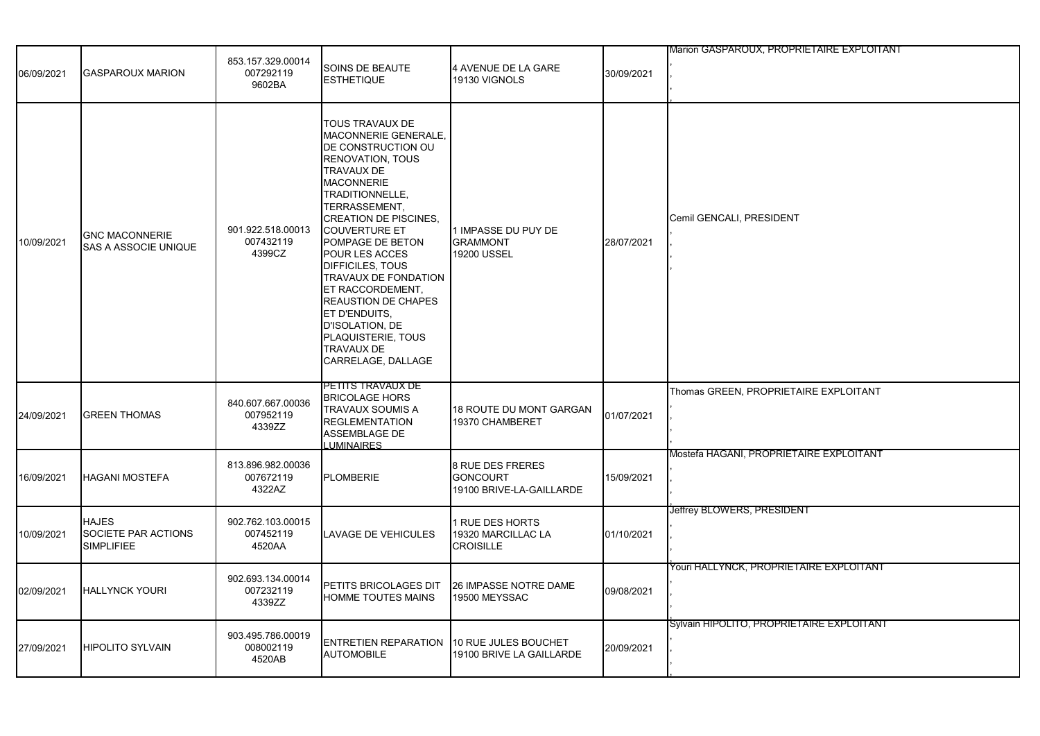| 06/09/2021 | <b>GASPAROUX MARION</b>                                  | 853.157.329.00014<br>007292119<br>9602BA | SOINS DE BEAUTE<br><b>ESTHETIQUE</b>                                                                                                                                                                                                                                                                                                                                                                                                                                    | 4 AVENUE DE LA GARE<br>19130 VIGNOLS                            | 30/09/2021 | Marion GASPAROUX, PROPRIETAIRE EXPLOITANT |
|------------|----------------------------------------------------------|------------------------------------------|-------------------------------------------------------------------------------------------------------------------------------------------------------------------------------------------------------------------------------------------------------------------------------------------------------------------------------------------------------------------------------------------------------------------------------------------------------------------------|-----------------------------------------------------------------|------------|-------------------------------------------|
| 10/09/2021 | <b>GNC MACONNERIE</b><br><b>SAS A ASSOCIE UNIQUE</b>     | 901.922.518.00013<br>007432119<br>4399CZ | <b>TOUS TRAVAUX DE</b><br>MACONNERIE GENERALE,<br>DE CONSTRUCTION OU<br><b>RENOVATION, TOUS</b><br>TRAVAUX DE<br><b>MACONNERIE</b><br>TRADITIONNELLE,<br>TERRASSEMENT,<br><b>CREATION DE PISCINES,</b><br><b>COUVERTURE ET</b><br>POMPAGE DE BETON<br>POUR LES ACCES<br>DIFFICILES, TOUS<br>TRAVAUX DE FONDATION<br>ET RACCORDEMENT,<br><b>REAUSTION DE CHAPES</b><br>ET D'ENDUITS,<br>D'ISOLATION, DE<br>PLAQUISTERIE, TOUS<br><b>TRAVAUX DE</b><br>CARRELAGE, DALLAGE | 1 IMPASSE DU PUY DE<br><b>GRAMMONT</b><br>19200 USSEL           | 28/07/2021 | Cemil GENCALI, PRESIDENT                  |
| 24/09/2021 | <b>GREEN THOMAS</b>                                      | 840.607.667.00036<br>007952119<br>4339ZZ | PETITS TRAVAUX DE<br><b>BRICOLAGE HORS</b><br>TRAVAUX SOUMIS A<br><b>REGLEMENTATION</b><br><b>ASSEMBLAGE DE</b><br><b>LUMINAIRES</b>                                                                                                                                                                                                                                                                                                                                    | 18 ROUTE DU MONT GARGAN<br>19370 CHAMBERET                      | 01/07/2021 | Thomas GREEN, PROPRIETAIRE EXPLOITANT     |
| 16/09/2021 | <b>HAGANI MOSTEFA</b>                                    | 813.896.982.00036<br>007672119<br>4322AZ | <b>PLOMBERIE</b>                                                                                                                                                                                                                                                                                                                                                                                                                                                        | 8 RUE DES FRERES<br><b>GONCOURT</b><br>19100 BRIVE-LA-GAILLARDE | 15/09/2021 | Mostefa HAGANI, PROPRIETAIRE EXPLOITANT   |
| 10/09/2021 | <b>HAJES</b><br>SOCIETE PAR ACTIONS<br><b>SIMPLIFIEE</b> | 902.762.103.00015<br>007452119<br>4520AA | LAVAGE DE VEHICULES                                                                                                                                                                                                                                                                                                                                                                                                                                                     | 1 RUE DES HORTS<br>19320 MARCILLAC LA<br><b>CROISILLE</b>       | 01/10/2021 | Jeffrey BLOWERS, PRESIDENT                |
| 02/09/2021 | <b>HALLYNCK YOURI</b>                                    | 902.693.134.00014<br>007232119<br>4339ZZ | PETITS BRICOLAGES DIT<br>HOMME TOUTES MAINS                                                                                                                                                                                                                                                                                                                                                                                                                             | 26 IMPASSE NOTRE DAME<br>19500 MEYSSAC                          | 09/08/2021 | Youri HALLYNCK, PROPRIETAIRE EXPLOITANT   |
| 27/09/2021 | <b>HIPOLITO SYLVAIN</b>                                  | 903.495.786.00019<br>008002119<br>4520AB | <b>ENTRETIEN REPARATION</b><br><b>AUTOMOBILE</b>                                                                                                                                                                                                                                                                                                                                                                                                                        | 10 RUE JULES BOUCHET<br>19100 BRIVE LA GAILLARDE                | 20/09/2021 | Sylvain HIPOLITO, PROPRIETAIRE EXPLOITANT |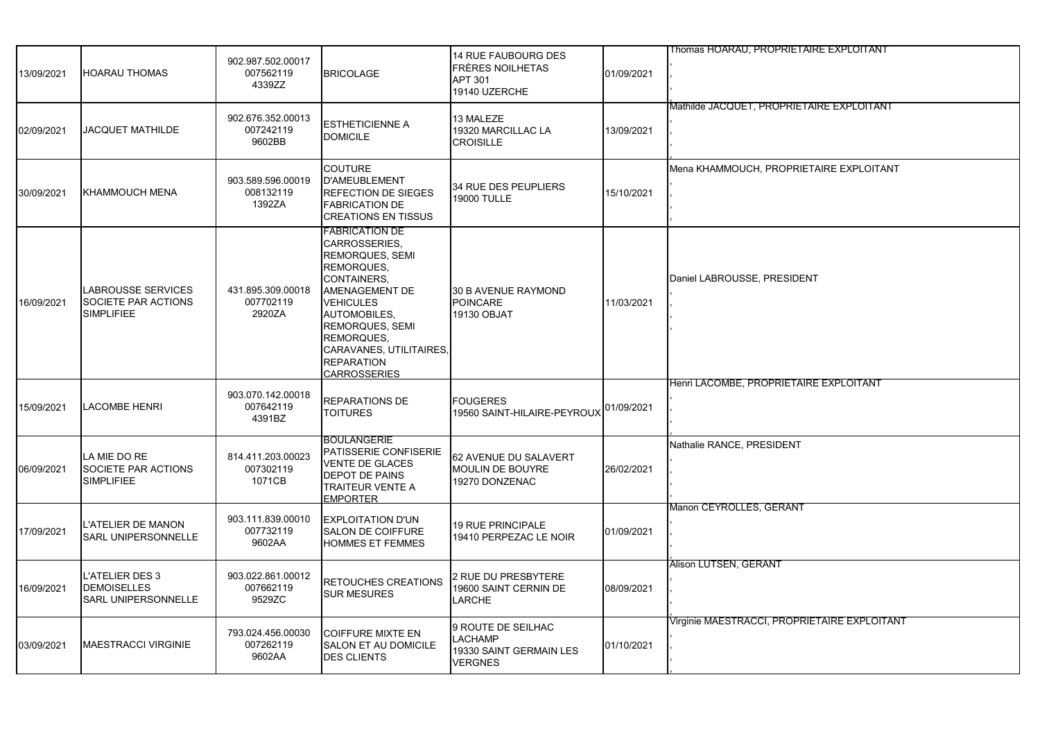| 13/09/2021 | <b>HOARAU THOMAS</b>                                                       | 902.987.502.00017<br>007562119<br>4339ZZ | <b>BRICOLAGE</b>                                                                                                                                                                                                                                            | <b>14 RUE FAUBOURG DES</b><br>FRÈRES NOILHETAS<br><b>APT 301</b><br>19140 UZERCHE | 01/09/2021 | Thomas HOARAU, PROPRIETAIRE EXPLOITANT       |
|------------|----------------------------------------------------------------------------|------------------------------------------|-------------------------------------------------------------------------------------------------------------------------------------------------------------------------------------------------------------------------------------------------------------|-----------------------------------------------------------------------------------|------------|----------------------------------------------|
| 02/09/2021 | <b>JACQUET MATHILDE</b>                                                    | 902.676.352.00013<br>007242119<br>9602BB | <b>ESTHETICIENNE A</b><br><b>DOMICILE</b>                                                                                                                                                                                                                   | 13 MALEZE<br>19320 MARCILLAC LA<br><b>CROISILLE</b>                               | 13/09/2021 | Mathilde JACQUET, PROPRIETAIRE EXPLOITANT    |
| 30/09/2021 | <b>KHAMMOUCH MENA</b>                                                      | 903.589.596.00019<br>008132119<br>1392ZA | <b>COUTURE</b><br><b>D'AMEUBLEMENT</b><br><b>REFECTION DE SIEGES</b><br><b>FABRICATION DE</b><br><b>CREATIONS EN TISSUS</b>                                                                                                                                 | 34 RUE DES PEUPLIERS<br>19000 TULLE                                               | 15/10/2021 | Mena KHAMMOUCH, PROPRIETAIRE EXPLOITANT      |
| 16/09/2021 | <b>LABROUSSE SERVICES</b><br>SOCIETE PAR ACTIONS<br><b>SIMPLIFIEE</b>      | 431.895.309.00018<br>007702119<br>2920ZA | <b>FABRICATION DE</b><br>CARROSSERIES,<br>REMORQUES, SEMI<br>REMORQUES,<br>CONTAINERS,<br>AMENAGEMENT DE<br><b>VEHICULES</b><br><b>AUTOMOBILES,</b><br>REMORQUES, SEMI<br>REMORQUES,<br>CARAVANES, UTILITAIRES,<br><b>REPARATION</b><br><b>CARROSSERIES</b> | 30 B AVENUE RAYMOND<br><b>POINCARE</b><br>19130 OBJAT                             | 11/03/2021 | Daniel LABROUSSE, PRESIDENT                  |
| 15/09/2021 | <b>LACOMBE HENRI</b>                                                       | 903.070.142.00018<br>007642119<br>4391BZ | <b>REPARATIONS DE</b><br><b>TOITURES</b>                                                                                                                                                                                                                    | <b>FOUGERES</b><br>19560 SAINT-HILAIRE-PEYROUX                                    | 01/09/2021 | Henri LACOMBE, PROPRIETAIRE EXPLOITANT       |
| 06/09/2021 | LA MIE DO RE<br>SOCIETE PAR ACTIONS<br><b>SIMPLIFIEE</b>                   | 814.411.203.00023<br>007302119<br>1071CB | <b>BOULANGERIE</b><br>PATISSERIE CONFISERIE<br><b>VENTE DE GLACES</b><br><b>DEPOT DE PAINS</b><br><b>TRAITEUR VENTE A</b><br><b>EMPORTER</b>                                                                                                                | 62 AVENUE DU SALAVERT<br>MOULIN DE BOUYRE<br>19270 DONZENAC                       | 26/02/2021 | Nathalie RANCE, PRESIDENT                    |
| 17/09/2021 | L'ATELIER DE MANON<br><b>SARL UNIPERSONNELLE</b>                           | 903.111.839.00010<br>007732119<br>9602AA | <b>EXPLOITATION D'UN</b><br><b>SALON DE COIFFURE</b><br><b>HOMMES ET FEMMES</b>                                                                                                                                                                             | <b>19 RUE PRINCIPALE</b><br>19410 PERPEZAC LE NOIR                                | 01/09/2021 | Manon CEYROLLES, GERANT                      |
| 16/09/2021 | <b>L'ATELIER DES 3</b><br><b>DEMOISELLES</b><br><b>SARL UNIPERSONNELLE</b> | 903.022.861.00012<br>007662119<br>9529ZC | RETOUCHES CREATIONS<br><b>SUR MESURES</b>                                                                                                                                                                                                                   | 2 RUE DU PRESBYTERE<br>19600 SAINT CERNIN DE<br>LARCHE                            | 08/09/2021 | Alison LUTSEN, GERANT                        |
| 03/09/2021 | <b>MAESTRACCI VIRGINIE</b>                                                 | 793.024.456.00030<br>007262119<br>9602AA | <b>COIFFURE MIXTE EN</b><br><b>SALON ET AU DOMICILE</b><br><b>DES CLIENTS</b>                                                                                                                                                                               | 9 ROUTE DE SEILHAC<br><b>LACHAMP</b><br>19330 SAINT GERMAIN LES<br><b>VERGNES</b> | 01/10/2021 | Virginie MAESTRACCI, PROPRIETAIRE EXPLOITANT |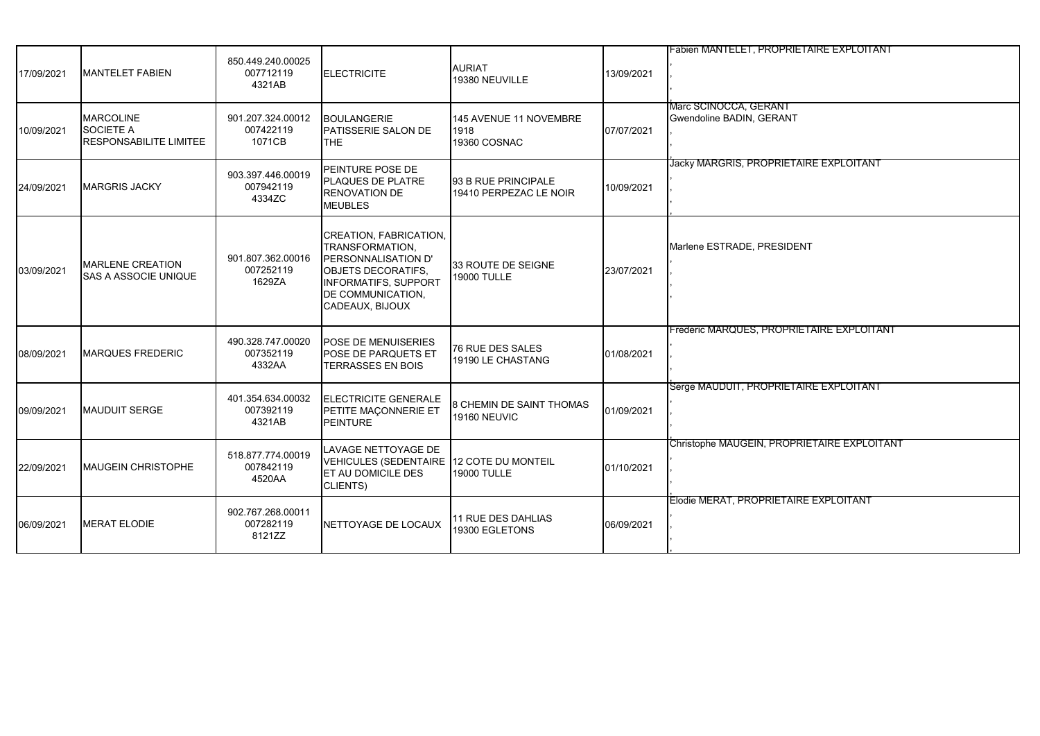| 17/09/2021 | <b>MANTELET FABIEN</b>                                                | 850.449.240.00025<br>007712119<br>4321AB | <b>ELECTRICITE</b>                                                                                                                                                   | <b>AURIAT</b><br>19380 NEUVILLE                      | 13/09/2021 | <b>Fabien MANTELET, PROPRIETAIRE EXPLOITANT</b>   |
|------------|-----------------------------------------------------------------------|------------------------------------------|----------------------------------------------------------------------------------------------------------------------------------------------------------------------|------------------------------------------------------|------------|---------------------------------------------------|
| 10/09/2021 | <b>MARCOLINE</b><br><b>SOCIETE A</b><br><b>RESPONSABILITE LIMITEE</b> | 901.207.324.00012<br>007422119<br>1071CB | <b>BOULANGERIE</b><br>PATISSERIE SALON DE<br>THE                                                                                                                     | 145 AVENUE 11 NOVEMBRE<br>1918<br>19360 COSNAC       | 07/07/2021 | Marc SCINOCCA, GERANT<br>Gwendoline BADIN, GERANT |
| 24/09/2021 | <b>MARGRIS JACKY</b>                                                  | 903.397.446.00019<br>007942119<br>4334ZC | PEINTURE POSE DE<br><b>PLAQUES DE PLATRE</b><br><b>RENOVATION DE</b><br><b>MEUBLES</b>                                                                               | <b>93 B RUE PRINCIPALE</b><br>19410 PERPEZAC LE NOIR | 10/09/2021 | Jacky MARGRIS, PROPRIETAIRE EXPLOITANT            |
| 03/09/2021 | <b>MARLENE CREATION</b><br><b>SAS A ASSOCIE UNIQUE</b>                | 901.807.362.00016<br>007252119<br>1629ZA | CREATION, FABRICATION,<br>TRANSFORMATION.<br>PERSONNALISATION D'<br><b>OBJETS DECORATIFS.</b><br><b>INFORMATIFS, SUPPORT</b><br>DE COMMUNICATION,<br>CADEAUX, BIJOUX | 33 ROUTE DE SEIGNE<br>19000 TULLE                    | 23/07/2021 | Marlene ESTRADE, PRESIDENT                        |
| 08/09/2021 | <b>MARQUES FREDERIC</b>                                               | 490.328.747.00020<br>007352119<br>4332AA | POSE DE MENUISERIES<br>POSE DE PARQUETS ET<br><b>TERRASSES EN BOIS</b>                                                                                               | 76 RUE DES SALES<br>19190 LE CHASTANG                | 01/08/2021 | Frederic MARQUES, PROPRIETAIRE EXPLOITANT         |
| 09/09/2021 | <b>MAUDUIT SERGE</b>                                                  | 401.354.634.00032<br>007392119<br>4321AB | <b>ELECTRICITE GENERALE</b><br>PETITE MAÇONNERIE ET<br>PEINTURE                                                                                                      | 8 CHEMIN DE SAINT THOMAS<br>19160 NEUVIC             | 01/09/2021 | Serge MAUDUIT, PROPRIETAIRE EXPLOITANT            |
| 22/09/2021 | <b>MAUGEIN CHRISTOPHE</b>                                             | 518.877.774.00019<br>007842119<br>4520AA | LAVAGE NETTOYAGE DE<br>VEHICULES (SEDENTAIRE 12 COTE DU MONTEIL<br><b>ET AU DOMICILE DES</b><br>CLIENTS)                                                             | 19000 TULLE                                          | 01/10/2021 | Christophe MAUGEIN, PROPRIETAIRE EXPLOITANT       |
| 06/09/2021 | <b>MERAT ELODIE</b>                                                   | 902.767.268.00011<br>007282119<br>8121ZZ | NETTOYAGE DE LOCAUX                                                                                                                                                  | 11 RUE DES DAHLIAS<br>19300 EGLETONS                 | 06/09/2021 | Elodie MERAT, PROPRIETAIRE EXPLOITANT             |
|            |                                                                       |                                          |                                                                                                                                                                      |                                                      |            |                                                   |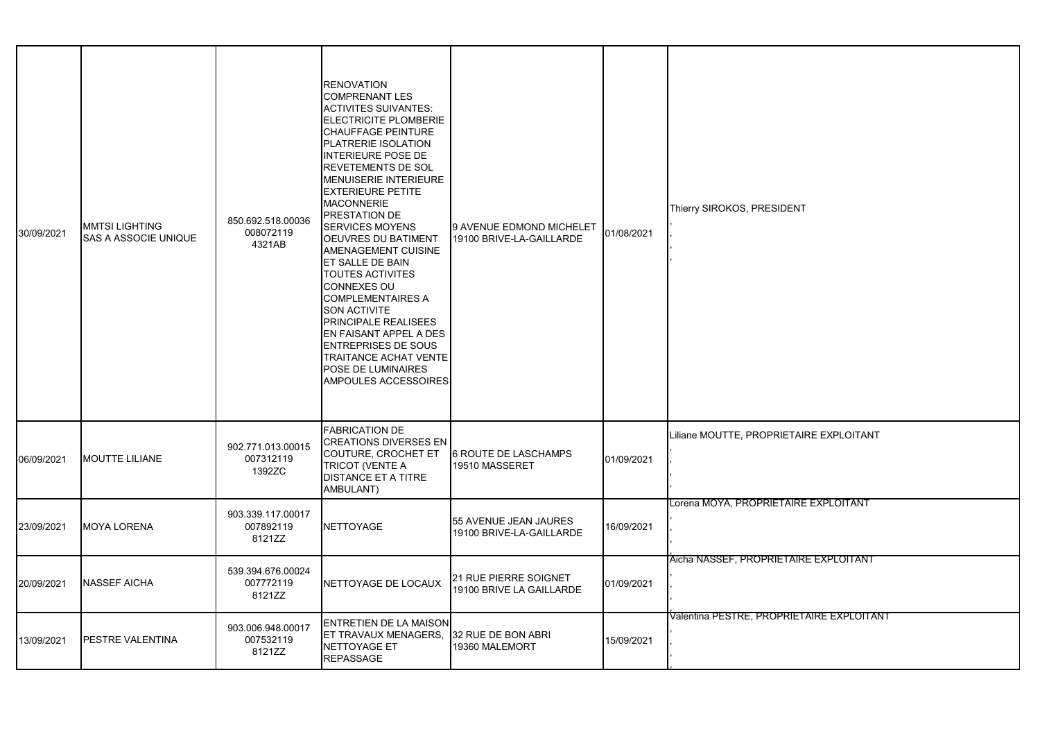| 30/09/2021 | MMTSI LIGHTING<br>SAS A ASSOCIE UNIQUE | 850.692.518.00036<br>008072119<br>4321AB | <b>RENOVATION</b><br><b>COMPRENANT LES</b><br><b>ACTIVITES SUIVANTES:</b><br><b>ELECTRICITE PLOMBERIE</b><br><b>CHAUFFAGE PEINTURE</b><br>PLATRERIE ISOLATION<br><b>INTERIEURE POSE DE</b><br>REVETEMENTS DE SOL<br>MENUISERIE INTERIEURE<br><b>EXTERIEURE PETITE</b><br><b>MACONNERIE</b><br>PRESTATION DE<br><b>SERVICES MOYENS</b><br><b>OEUVRES DU BATIMENT</b><br>AMENAGEMENT CUISINE<br>ET SALLE DE BAIN<br><b>TOUTES ACTIVITES</b><br><b>CONNEXES OU</b><br><b>COMPLEMENTAIRES A</b><br><b>SON ACTIVITE</b><br>PRINCIPALE REALISEES<br>EN FAISANT APPEL A DES<br><b>ENTREPRISES DE SOUS</b><br><b>TRAITANCE ACHAT VENTE</b><br>POSE DE LUMINAIRES<br>AMPOULES ACCESSOIRES | 9 AVENUE EDMOND MICHELET<br>19100 BRIVE-LA-GAILLARDE | 01/08/2021 | Thierry SIROKOS, PRESIDENT                |
|------------|----------------------------------------|------------------------------------------|----------------------------------------------------------------------------------------------------------------------------------------------------------------------------------------------------------------------------------------------------------------------------------------------------------------------------------------------------------------------------------------------------------------------------------------------------------------------------------------------------------------------------------------------------------------------------------------------------------------------------------------------------------------------------------|------------------------------------------------------|------------|-------------------------------------------|
| 06/09/2021 | <b>MOUTTE LILIANE</b>                  | 902.771.013.00015<br>007312119<br>1392ZC | <b>FABRICATION DE</b><br><b>CREATIONS DIVERSES EN</b><br>COUTURE, CROCHET ET<br>TRICOT (VENTE A<br><b>DISTANCE ET A TITRE</b><br>AMBULANT)                                                                                                                                                                                                                                                                                                                                                                                                                                                                                                                                       | <b>6 ROUTE DE LASCHAMPS</b><br>19510 MASSERET        | 01/09/2021 | Liliane MOUTTE, PROPRIETAIRE EXPLOITANT   |
| 23/09/2021 | <b>MOYA LORENA</b>                     | 903.339.117.00017<br>007892119<br>8121ZZ | <b>NETTOYAGE</b>                                                                                                                                                                                                                                                                                                                                                                                                                                                                                                                                                                                                                                                                 | 55 AVENUE JEAN JAURES<br>19100 BRIVE-LA-GAILLARDE    | 16/09/2021 | Lorena MOYA, PROPRIETAIRE EXPLOITANT      |
| 20/09/2021 | NASSEF AICHA                           | 539.394.676.00024<br>007772119<br>8121ZZ | <b>INETTOYAGE DE LOCAUX</b>                                                                                                                                                                                                                                                                                                                                                                                                                                                                                                                                                                                                                                                      | 21 RUE PIERRE SOIGNET<br>19100 BRIVE LA GAILLARDE    | 01/09/2021 | Aicha NASSEF, PROPRIETAIRE EXPLOITANT     |
| 13/09/2021 | PESTRE VALENTINA                       | 903.006.948.00017<br>007532119<br>8121ZZ | <b>ENTRETIEN DE LA MAISON</b><br><b>ET TRAVAUX MENAGERS,</b><br>NETTOYAGE ET<br><b>REPASSAGE</b>                                                                                                                                                                                                                                                                                                                                                                                                                                                                                                                                                                                 | 32 RUE DE BON ABRI<br>19360 MALEMORT                 | 15/09/2021 | Valentina PESTRE, PROPRIETAIRE EXPLOITANT |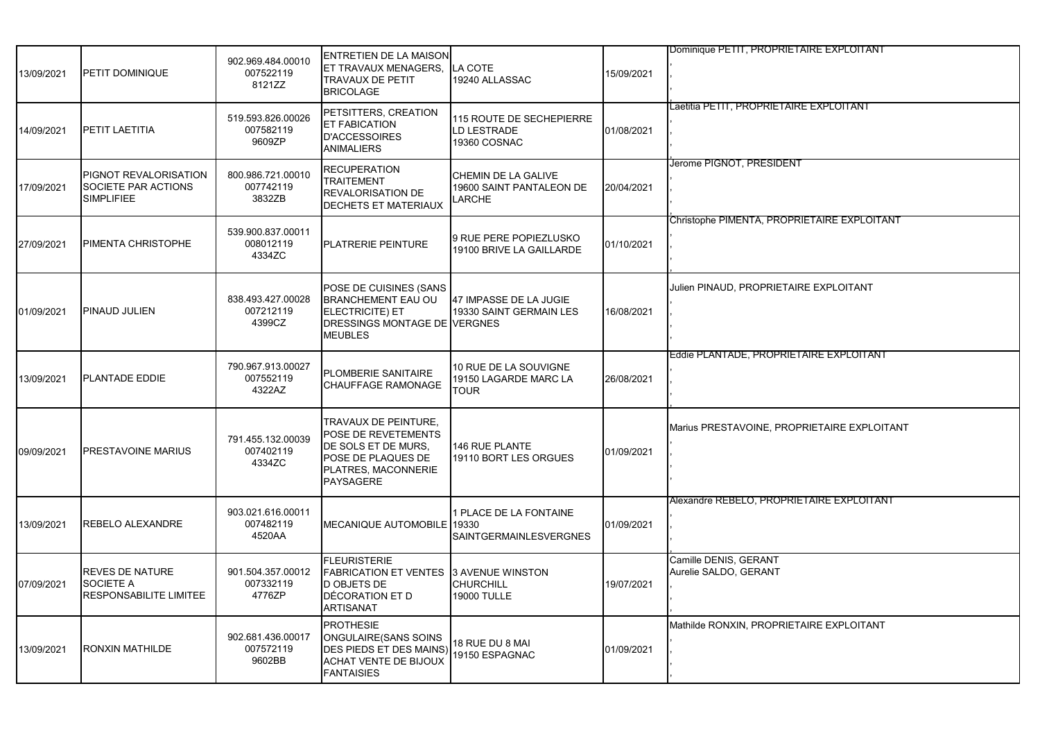| 13/09/2021 | PETIT DOMINIQUE                                                          | 902.969.484.00010<br>007522119<br>8121ZZ | ENTRETIEN DE LA MAISON<br>ET TRAVAUX MENAGERS,<br><b>TRAVAUX DE PETIT</b><br><b>BRICOLAGE</b>                                       | LA COTE<br>19240 ALLASSAC                                      | 15/09/2021 | Dominique PETIT, PROPRIETAIRE EXPLOITANT       |
|------------|--------------------------------------------------------------------------|------------------------------------------|-------------------------------------------------------------------------------------------------------------------------------------|----------------------------------------------------------------|------------|------------------------------------------------|
| 14/09/2021 | PETIT LAETITIA                                                           | 519.593.826.00026<br>007582119<br>9609ZP | PETSITTERS, CREATION<br><b>ET FABICATION</b><br><b>D'ACCESSOIRES</b><br><b>ANIMALIERS</b>                                           | <b>115 ROUTE DE SECHEPIERRE</b><br>LD LESTRADE<br>19360 COSNAC | 01/08/2021 | Laetitia PETIT, PROPRIETAIRE EXPLOITANT        |
| 17/09/2021 | <b>PIGNOT REVALORISATION</b><br>SOCIETE PAR ACTIONS<br><b>SIMPLIFIEE</b> | 800.986.721.00010<br>007742119<br>3832ZB | <b>RECUPERATION</b><br><b>TRAITEMENT</b><br><b>REVALORISATION DE</b><br>DECHETS ET MATERIAUX                                        | CHEMIN DE LA GALIVE<br>19600 SAINT PANTALEON DE<br>LARCHE      | 20/04/2021 | Jerome PIGNOT, PRESIDENT                       |
| 27/09/2021 | <b>IPIMENTA CHRISTOPHE</b>                                               | 539.900.837.00011<br>008012119<br>4334ZC | PLATRERIE PEINTURE                                                                                                                  | 9 RUE PERE POPIEZLUSKO<br>19100 BRIVE LA GAILLARDE             | 01/10/2021 | Christophe PIMENTA, PROPRIETAIRE EXPLOITANT    |
| 01/09/2021 | <b>PINAUD JULIEN</b>                                                     | 838.493.427.00028<br>007212119<br>4399CZ | POSE DE CUISINES (SANS<br>BRANCHEMENT EAU OU<br>ELECTRICITE) ET<br>DRESSINGS MONTAGE DE VERGNES<br><b>MEUBLES</b>                   | 47 IMPASSE DE LA JUGIE<br>19330 SAINT GERMAIN LES              | 16/08/2021 | Julien PINAUD, PROPRIETAIRE EXPLOITANT         |
| 13/09/2021 | <b>PLANTADE EDDIE</b>                                                    | 790.967.913.00027<br>007552119<br>4322AZ | PLOMBERIE SANITAIRE<br><b>CHAUFFAGE RAMONAGE</b>                                                                                    | 10 RUE DE LA SOUVIGNE<br>19150 LAGARDE MARC LA<br><b>TOUR</b>  | 26/08/2021 | Eddie PLANTADE, PROPRIETAIRE EXPLOITANT        |
| 09/09/2021 | <b>PRESTAVOINE MARIUS</b>                                                | 791.455.132.00039<br>007402119<br>4334ZC | TRAVAUX DE PEINTURE,<br>POSE DE REVETEMENTS<br>DE SOLS ET DE MURS.<br>POSE DE PLAQUES DE<br>PLATRES, MACONNERIE<br><b>PAYSAGERE</b> | 146 RUE PLANTE<br>19110 BORT LES ORGUES                        | 01/09/2021 | Marius PRESTAVOINE, PROPRIETAIRE EXPLOITANT    |
| 13/09/2021 | <b>REBELO ALEXANDRE</b>                                                  | 903.021.616.00011<br>007482119<br>4520AA | <b>MECANIQUE AUTOMOBILE</b>                                                                                                         | 1 PLACE DE LA FONTAINE<br>19330<br>SAINTGERMAINLESVERGNES      | 01/09/2021 | Alexandre REBELO, PROPRIETAIRE EXPLOITANT      |
| 07/09/2021 | <b>REVES DE NATURE</b><br>SOCIETE A<br><b>RESPONSABILITE LIMITEE</b>     | 901.504.357.00012<br>007332119<br>4776ZP | <b>FLEURISTERIE</b><br><b>FABRICATION ET VENTES</b><br><b>D OBJETS DE</b><br>DÉCORATION ET D<br><b>ARTISANAT</b>                    | 3 AVENUE WINSTON<br><b>CHURCHILL</b><br><b>19000 TULLE</b>     | 19/07/2021 | Camille DENIS, GERANT<br>Aurelie SALDO, GERANT |
| 13/09/2021 | <b>RONXIN MATHILDE</b>                                                   | 902.681.436.00017<br>007572119<br>9602BB | <b>PROTHESIE</b><br>ONGULAIRE(SANS SOINS<br>DES PIEDS ET DES MAINS)<br><b>ACHAT VENTE DE BIJOUX</b><br><b>FANTAISIES</b>            | 18 RUE DU 8 MAI<br>19150 ESPAGNAC                              | 01/09/2021 | Mathilde RONXIN, PROPRIETAIRE EXPLOITANT       |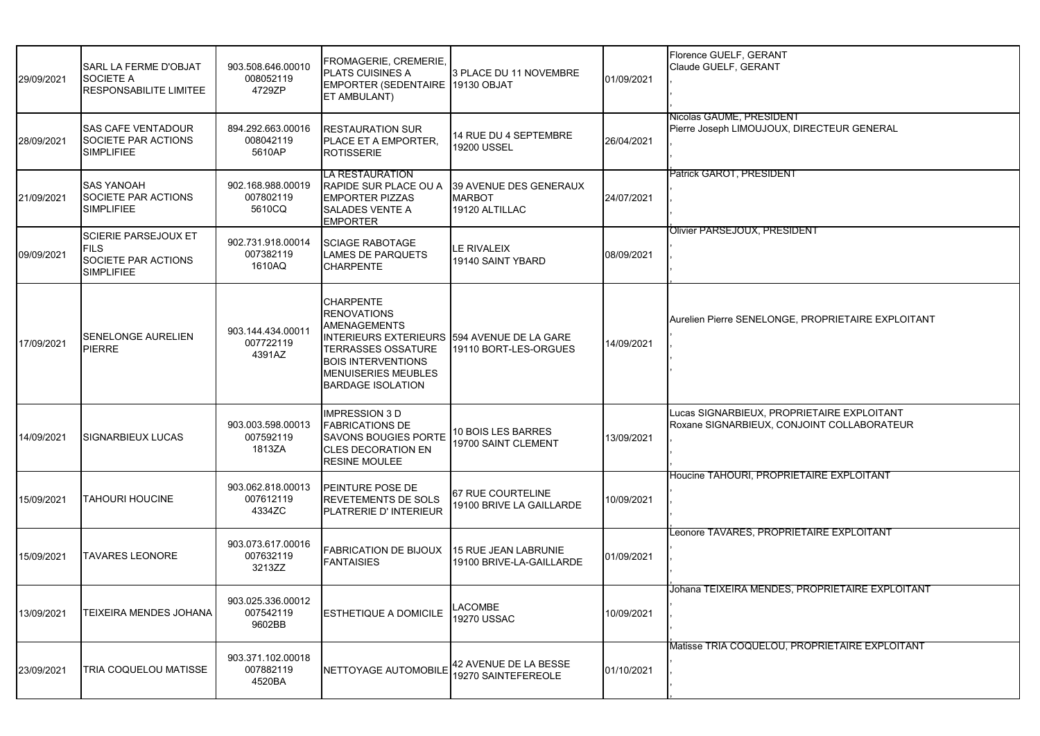| 29/09/2021 | <b>SARL LA FERME D'OBJAT</b><br><b>SOCIETE A</b><br><b>RESPONSABILITE LIMITEE</b>      | 903.508.646.00010<br>008052119<br>4729ZP | FROMAGERIE, CREMERIE,<br><b>PLATS CUISINES A</b><br>EMPORTER (SEDENTAIRE 19130 OBJAT<br>ET AMBULANT)                                                                                                                             | 3 PLACE DU 11 NOVEMBRE                                    | 01/09/2021 | Florence GUELF, GERANT<br>Claude GUELF, GERANT                                           |
|------------|----------------------------------------------------------------------------------------|------------------------------------------|----------------------------------------------------------------------------------------------------------------------------------------------------------------------------------------------------------------------------------|-----------------------------------------------------------|------------|------------------------------------------------------------------------------------------|
| 28/09/2021 | <b>SAS CAFE VENTADOUR</b><br>SOCIETE PAR ACTIONS<br><b>SIMPLIFIEE</b>                  | 894.292.663.00016<br>008042119<br>5610AP | <b>RESTAURATION SUR</b><br>PLACE ET A EMPORTER,<br><b>ROTISSERIE</b>                                                                                                                                                             | 14 RUE DU 4 SEPTEMBRE<br>19200 USSEL                      | 26/04/2021 | Nicolas GAUME, PRESIDENT<br>Pierre Joseph LIMOUJOUX, DIRECTEUR GENERAL                   |
| 21/09/2021 | <b>SAS YANOAH</b><br>SOCIETE PAR ACTIONS<br><b>SIMPLIFIEE</b>                          | 902.168.988.00019<br>007802119<br>5610CQ | LA RESTAURATION<br><b>RAPIDE SUR PLACE OU A</b><br><b>EMPORTER PIZZAS</b><br><b>SALADES VENTE A</b><br><b>EMPORTER</b>                                                                                                           | 39 AVENUE DES GENERAUX<br><b>MARBOT</b><br>19120 ALTILLAC | 24/07/2021 | Patrick GAROT. PRESIDENT                                                                 |
| 09/09/2021 | <b>SCIERIE PARSEJOUX ET</b><br><b>FILS</b><br>SOCIETE PAR ACTIONS<br><b>SIMPLIFIEE</b> | 902.731.918.00014<br>007382119<br>1610AQ | <b>SCIAGE RABOTAGE</b><br><b>LAMES DE PARQUETS</b><br><b>CHARPENTE</b>                                                                                                                                                           | LE RIVALEIX<br>19140 SAINT YBARD                          | 08/09/2021 | Olivier PARSEJOUX, PRESIDENT                                                             |
| 17/09/2021 | <b>SENELONGE AURELIEN</b><br><b>PIERRE</b>                                             | 903.144.434.00011<br>007722119<br>4391AZ | <b>CHARPENTE</b><br><b>RENOVATIONS</b><br><b>AMENAGEMENTS</b><br>INTERIEURS EXTERIEURS 594 AVENUE DE LA GARE<br><b>TERRASSES OSSATURE</b><br><b>BOIS INTERVENTIONS</b><br><b>MENUISERIES MEUBLES</b><br><b>BARDAGE ISOLATION</b> | 19110 BORT-LES-ORGUES                                     | 14/09/2021 | Aurelien Pierre SENELONGE, PROPRIETAIRE EXPLOITANT                                       |
| 14/09/2021 | <b>SIGNARBIEUX LUCAS</b>                                                               | 903.003.598.00013<br>007592119<br>1813ZA | <b>IMPRESSION 3 D</b><br><b>FABRICATIONS DE</b><br><b>SAVONS BOUGIES PORTE</b><br><b>CLES DECORATION EN</b><br><b>RESINE MOULEE</b>                                                                                              | 10 BOIS LES BARRES<br>19700 SAINT CLEMENT                 | 13/09/2021 | Lucas SIGNARBIEUX, PROPRIETAIRE EXPLOITANT<br>Roxane SIGNARBIEUX, CONJOINT COLLABORATEUR |
| 15/09/2021 | <b>TAHOURI HOUCINE</b>                                                                 | 903.062.818.00013<br>007612119<br>4334ZC | <b>PEINTURE POSE DE</b><br><b>REVETEMENTS DE SOLS</b><br>PLATRERIE D' INTERIEUR                                                                                                                                                  | 67 RUE COURTELINE<br>19100 BRIVE LA GAILLARDE             | 10/09/2021 | Houcine TAHOURI, PROPRIETAIRE EXPLOITANT                                                 |
| 15/09/2021 | <b>TAVARES LEONORE</b>                                                                 | 903.073.617.00016<br>007632119<br>3213ZZ | <b>FABRICATION DE BIJOUX</b><br><b>FANTAISIES</b>                                                                                                                                                                                | 15 RUE JEAN LABRUNIE<br>19100 BRIVE-LA-GAILLARDE          | 01/09/2021 |                                                                                          |
| 13/09/2021 | TEIXEIRA MENDES JOHANA                                                                 | 903.025.336.00012<br>007542119<br>9602BB | <b>ESTHETIQUE A DOMICILE</b>                                                                                                                                                                                                     | <b>LACOMBE</b><br>19270 USSAC                             | 10/09/2021 | Johana TEIXEIRA MENDES, PROPRIETAIRE EXPLOITANT                                          |
| 23/09/2021 | TRIA COQUELOU MATISSE                                                                  | 903.371.102.00018<br>007882119<br>4520BA | NETTOYAGE AUTOMOBILE                                                                                                                                                                                                             | 42 AVENUE DE LA BESSE<br>19270 SAINTEFEREOLE              | 01/10/2021 | Matisse TRIA COQUELOU, PROPRIETAIRE EXPLOITANT                                           |